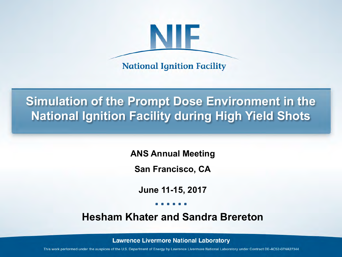

**National Ignition Facility** 

# **Simulation of the Prompt Dose Environment in the National Ignition Facility during High Yield Shots**

**ANS Annual Meeting**

**San Francisco, CA**

**June 11-15, 2017**

**Hesham Khater and Sandra Brereton**

**Lawrence Livermore National Laboratory** 

This work performed under the auspices of the U.S. Department of Energy by Lawrence Livermore National Laboratory under Contract DE-AC52-07NA27344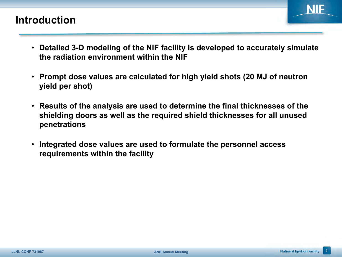#### **Introduction**

- 
- **Detailed 3-D modeling of the NIF facility is developed to accurately simulate the radiation environment within the NIF**
- **Prompt dose values are calculated for high yield shots (20 MJ of neutron yield per shot)**
- **Results of the analysis are used to determine the final thicknesses of the shielding doors as well as the required shield thicknesses for all unused penetrations**
- **Integrated dose values are used to formulate the personnel access requirements within the facility**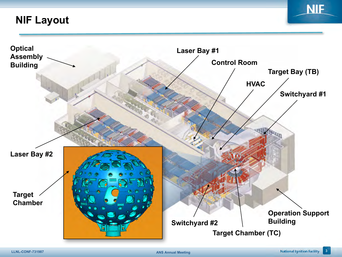**NIF Layout**



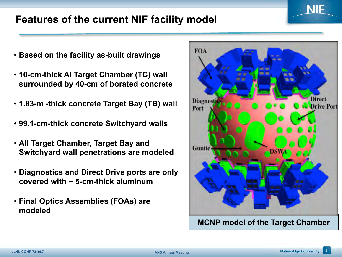# **Features of the current NIF facility model**

- **Based on the facility as-built drawings**
- **10-cm-thick Al Target Chamber (TC) wall surrounded by 40-cm of borated concrete**
- **1.83-m -thick concrete Target Bay (TB) wall**
- **99.1-cm-thick concrete Switchyard walls**
- **All Target Chamber, Target Bay and Switchyard wall penetrations are modeled**
- **Diagnostics and Direct Drive ports are only covered with ~ 5-cm-thick aluminum**
- **Final Optics Assemblies (FOAs) are modeled**

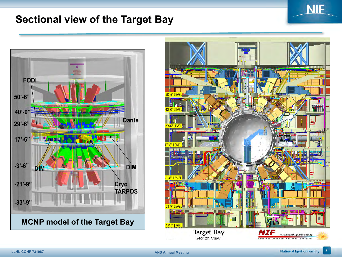#### **Sectional view of the Target Bay**





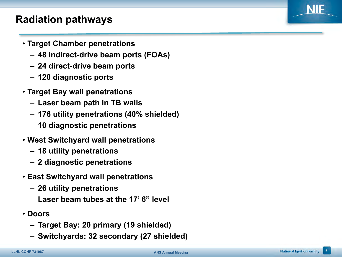# **Radiation pathways**

- **Target Chamber penetrations**
	- **48 indirect-drive beam ports (FOAs)**
	- **24 direct-drive beam ports**
	- **120 diagnostic ports**
- **Target Bay wall penetrations**
	- **Laser beam path in TB walls**
	- **176 utility penetrations (40% shielded)**
	- **10 diagnostic penetrations**
- **West Switchyard wall penetrations**
	- **18 utility penetrations**
	- **2 diagnostic penetrations**
- **East Switchyard wall penetrations**
	- **26 utility penetrations**
	- **Laser beam tubes at the 17' 6" level**
- **Doors**
	- **Target Bay: 20 primary (19 shielded)**
	- **Switchyards: 32 secondary (27 shielded)**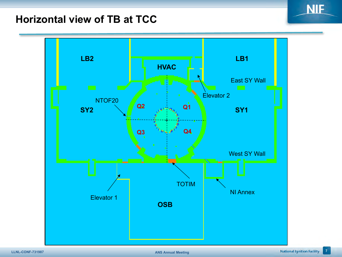#### **Horizontal view of TB at TCC**



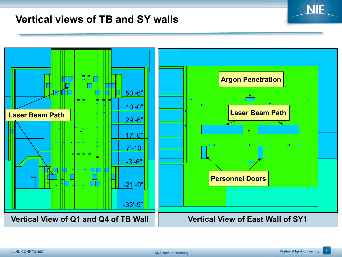#### **Vertical views of TB and SY walls**

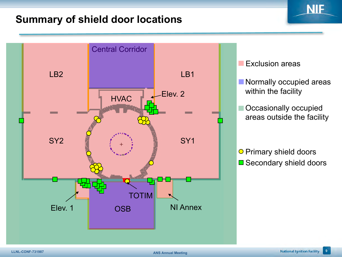#### **Summary of shield door locations**



**Exclusion areas** 

Normally occupied areas within the facility

NIE

Occasionally occupied areas outside the facility

 $\square$  Secondary shield doors O Primary shield doors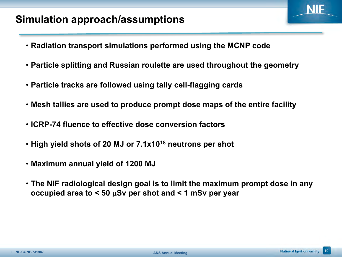#### **Simulation approach/assumptions**

- **Radiation transport simulations performed using the MCNP code**
- **Particle splitting and Russian roulette are used throughout the geometry**
- **Particle tracks are followed using tally cell-flagging cards**
- **Mesh tallies are used to produce prompt dose maps of the entire facility**
- **ICRP-74 fluence to effective dose conversion factors**
- **High yield shots of 20 MJ or 7.1x1018 neutrons per shot**
- **Maximum annual yield of 1200 MJ**
- **The NIF radiological design goal is to limit the maximum prompt dose in any occupied area to < 50** µ**Sv per shot and < 1 mSv per year**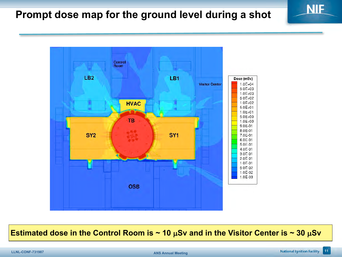# **Prompt dose map for the ground level during a shot**



**Estimated dose in the Control Room is ~ 10** µ**Sv and in the Visitor Center is ~ 30** µ**Sv**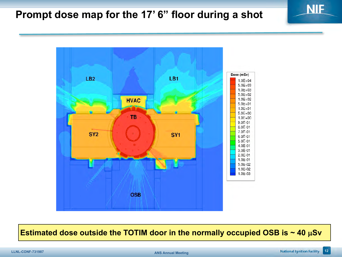# **Prompt dose map for the 17' 6" floor during a shot**



**Estimated dose outside the TOTIM door in the normally occupied OSB is ~ 40** µ**Sv**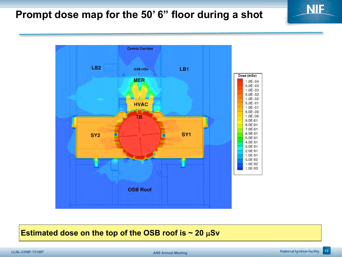# **Prompt dose map for the 50' 6" floor during a shot**



#### **Estimated dose on the top of the OSB roof is ~ 20** µ**Sv**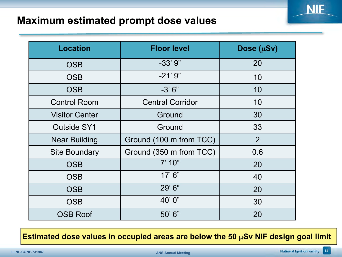#### **Maximum estimated prompt dose values**

| <b>Location</b>       | <b>Floor level</b>      | Dose (µSv)     |
|-----------------------|-------------------------|----------------|
| <b>OSB</b>            | $-33'9''$               | 20             |
| <b>OSB</b>            | $-21'9''$               | 10             |
| <b>OSB</b>            | $-3'6''$                | 10             |
| <b>Control Room</b>   | <b>Central Corridor</b> | 10             |
| <b>Visitor Center</b> | Ground                  | 30             |
| <b>Outside SY1</b>    | Ground                  | 33             |
| <b>Near Building</b>  | Ground (100 m from TCC) | $\overline{2}$ |
| <b>Site Boundary</b>  | Ground (350 m from TCC) | 0.6            |
| <b>OSB</b>            | 7' 10"                  | 20             |
| <b>OSB</b>            | 17'6''                  | 40             |
| <b>OSB</b>            | 29'6''                  | 20             |
| <b>OSB</b>            | 40'0"                   | 30             |
| <b>OSB Roof</b>       | 50'6"                   | 20             |

**Estimated dose values in occupied areas are below the 50** µ**Sv NIF design goal limit**

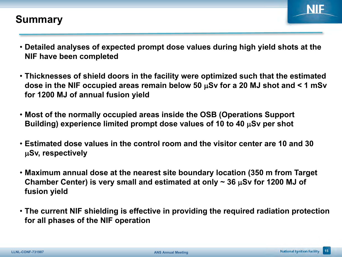#### **Summary**



- **Detailed analyses of expected prompt dose values during high yield shots at the NIF have been completed**
- **Thicknesses of shield doors in the facility were optimized such that the estimated dose in the NIF occupied areas remain below 50** µ**Sv for a 20 MJ shot and < 1 mSv for 1200 MJ of annual fusion yield**
- **Most of the normally occupied areas inside the OSB (Operations Support Building) experience limited prompt dose values of 10 to 40** µ**Sv per shot**
- **Estimated dose values in the control room and the visitor center are 10 and 30**  µ**Sv, respectively**
- **Maximum annual dose at the nearest site boundary location (350 m from Target Chamber Center) is very small and estimated at only ~ 36** µ**Sv for 1200 MJ of fusion yield**
- **The current NIF shielding is effective in providing the required radiation protection for all phases of the NIF operation**